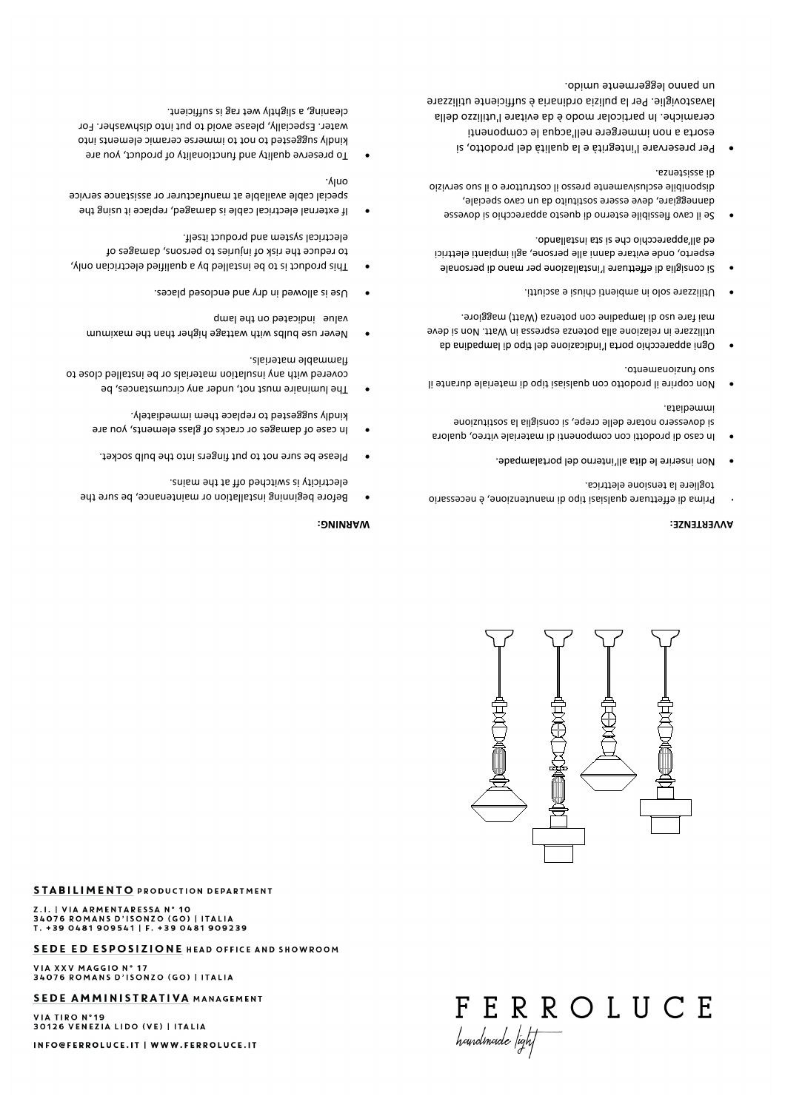VIA TIRO N°19<br>30126 VENEZIA LIDO (VE) | ITALIA INFO@FERROLUCE.IT | WWW.FERROLUCE.IT

## SEDE AMMINISTRATIVA MANAGEMENT

VIA XXV MAGGIO N° 17<br>34076 ROMANS D'ISONZO (GO) | ITALIA

## SEDE ED ESPOSIZIONE HEAD OFFICE AND SHOWROOM

Z.I. | VIA ARMENTARESSA N° 10<br>34076 ROMANS D'ISONZO (GO) | ITALIA T. +39 0481 909541 | F. +39 0481 909239

**STABILIMENTO PRODUCTION DEPARTMENT** 

# FERROLUCE houndmoide /ight



#### **AVVERTENZE:**

- Prima di effettuare qualsiasi tipo di manutenzione, è necessario **·** togliere la tensione elettrica.
- . bbsqmslstnoq leb ometni'lls stib el entalampade. ·
- In caso di prodotti con componenti di materiale vitreo, qualora · si dovessero notare delle crepe, si consiglia la sostituzione immediata.
- Non coprire il prodotto con qualsiasi tipo di materiale durante il · suo funzionamento.
- mai fare uso di lampadine con potenza (Watt) maggiore. utilizzare in relazione alla potenza espressa in Watt. Non si deve Ogni apparecchio porta l'indicazione del tipo qi lampadina da ·
- Utilizzare solo in ambienti chiusi e asciutti. ·
- ed all'apparecchio che si sta installando. esperto, onde evitare danni alle persone, agli impianti elettrici 9i consiglia di effettuare l'installazione per mano di personale ·
- Se il cavo flessibile esterno di questo apparecchio si dovesse danneggiare, deve essere sostituito da un cavo speciale, disponibile esclusivamente presso il costruttore o il suo servizio di assistenza.
- Per preservare l'integrità e la qualità del prodotto, si · esorta a non immergere nell'acqua le componenti ceramiche. In particolar modo è da evitare l'utilizzo della lavastoviglie. Per la pulizia ordinaria è sufficiente utilizzare un panno leggermente umido.

### **WARNING:**

- Before beginning installation or maintenance, be sure the · electricity is switched off at the mains.
- Please be sure not to put fingers into the bulb socket.
- In case of damages or cracks of glass elements, you are · kindly suggested to replace them immediately.
- The luminaire must not, under any circumstances, be · covered with any insulation materials or be installed close to flammable materials.
- Never use bulbs with wattage higher than the maximum · value indicated on the lamp
- Use is allowed in dry and enclosed places. ·
- This product is to be installed by a qualified electrician only, · to reduce the risk of injuries to persons, damages of electrical system and product itself.
- If external electrical cable is damaged, replace it using the · special cable available at manufacturer or assistance service only.
- To preserve quality and functionality of product, you are · kindly suggested to not to immerse ceramic elements into water. Especially, please avoid to put into dishwasher. For cleaning, a slightly wet rag is sufficient.